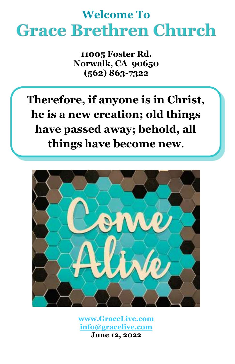# **Welcome To Grace Brethren Church**

**11005 Foster Rd. Norwalk, CA 90650 (562) 863-7322**

**Therefore, if anyone is in Christ, he is a new creation; old things have passed away; behold, all things have become new.**



**[www.GraceLive.com](http://www.gracelive.com/) [info@gracelive.com](mailto:info@gracelive.com)**

**June 12, 2022**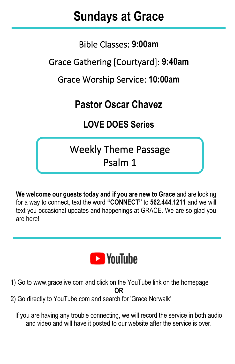# **Sundays at Grace**

I

Bible Classes: **9:00am**

Grace Gathering [Courtyard]: **9:40am**

Grace Worship Service: **10:00am**

## **Pastor Oscar Chavez**

### **LOVE DOES Series**

## Weekly Theme Passage Psalm 1

**We welcome our guests today and if you are new to Grace** and are looking for a way to connect, text the word **"CONNECT"** to **562.444.1211** and we will text you occasional updates and happenings at GRACE. We are so glad you are here!



- 1) Go to [www.gracelive.com](https://mandrillapp.com/track/click/30119321/www.gracelive.com?p=eyJzIjoiVFlsX2d2Skp4NlhxZ2p4SURJd1BiQ3BjS2dNIiwidiI6MSwicCI6IntcInVcIjozMDExOTMyMSxcInZcIjoxLFwidXJsXCI6XCJodHRwOlxcXC9cXFwvd3d3LmdyYWNlbGl2ZS5jb21cIixcImlkXCI6XCI3ZDU3MmMyMmZkMmI0ZWJkYmQxODBiMWI4MTY1NDg0MlwiLFwidXJsX2lkc1wiOltcImUyMmY4ODVmYjE0YzEzNDBjMzk0N2UxN2E3MTRjYjZlNGI4ODE4N2VcIl19In0) and click on the YouTube link on the homepage **OR**
- 2) Go directly to YouTube.com and search for 'Grace Norwalk'

If you are having any trouble connecting, we will record the service in both audio and video and will have it posted to our website after the service is over.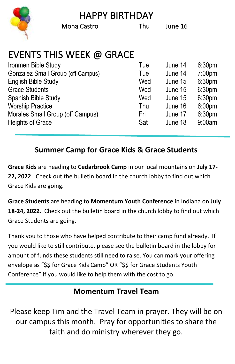HAPPY BIRTHDAY



Mona Castro Thu June 16

## EVENTS THIS WEEK @ GRACE

| Tue | June 14 | 6:30 <sub>pm</sub> |
|-----|---------|--------------------|
| Tue | June 14 | 7:00 <sub>pm</sub> |
| Wed | June 15 | 6:30 <sub>pm</sub> |
| Wed | June 15 | 6:30 <sub>pm</sub> |
| Wed | June 15 | 6:30 <sub>pm</sub> |
| Thu | June 16 | 6:00 <sub>pm</sub> |
| Fri | June 17 | 6:30 <sub>pm</sub> |
| Sat | June 18 | 9:00am             |
|     |         |                    |

#### **Summer Camp for Grace Kids & Grace Students**

**Grace Kids** are heading to **Cedarbrook Camp** in our local mountains on **July 17- 22, 2022**. Check out the bulletin board in the church lobby to find out which Grace Kids are going.

**Grace Students** are heading to **Momentum Youth Conference** in Indiana on **July 18-24, 2022**. Check out the bulletin board in the church lobby to find out which Grace Students are going.

Thank you to those who have helped contribute to their camp fund already. If you would like to still contribute, please see the bulletin board in the lobby for amount of funds these students still need to raise. You can mark your offering envelope as "\$\$ for Grace Kids Camp" OR "\$\$ for Grace Students Youth Conference" if you would like to help them with the cost to go.

#### **Momentum Travel Team**

Please keep Tim and the Travel Team in prayer. They will be on our campus this month. Pray for opportunities to share the faith and do ministry wherever they go.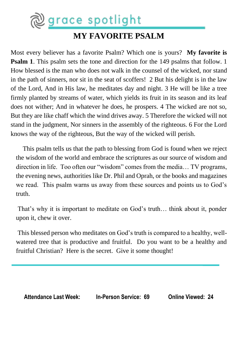

#### **MY FAVORITE PSALM**

Most every believer has a favorite Psalm? Which one is yours? **My favorite is Psalm 1**. This psalm sets the tone and direction for the 149 psalms that follow. 1 How blessed is the man who does not walk in the counsel of the wicked, nor stand in the path of sinners, nor sit in the seat of scoffers! 2 But his delight is in the law of the Lord, And in His law, he meditates day and night. 3 He will be like a tree firmly planted by streams of water, which yields its fruit in its season and its leaf does not wither; And in whatever he does, he prospers. 4 The wicked are not so, But they are like chaff which the wind drives away. 5 Therefore the wicked will not stand in the judgment, Nor sinners in the assembly of the righteous. 6 For the Lord knows the way of the righteous, But the way of the wicked will perish.

 This psalm tells us that the path to blessing from God is found when we reject the wisdom of the world and embrace the scriptures as our source of wisdom and direction in life. Too often our "wisdom" comes from the media… TV programs, the evening news, authorities like Dr. Phil and Oprah, or the books and magazines we read. This psalm warns us away from these sources and points us to God's truth.

That's why it is important to meditate on God's truth… think about it, ponder upon it, chew it over.

This blessed person who meditates on God's truth is compared to a healthy, wellwatered tree that is productive and fruitful. Do you want to be a healthy and fruitful Christian? Here is the secret. Give it some thought!

**Attendance Last Week: In-Person Service: 69 Online Viewed: 24**